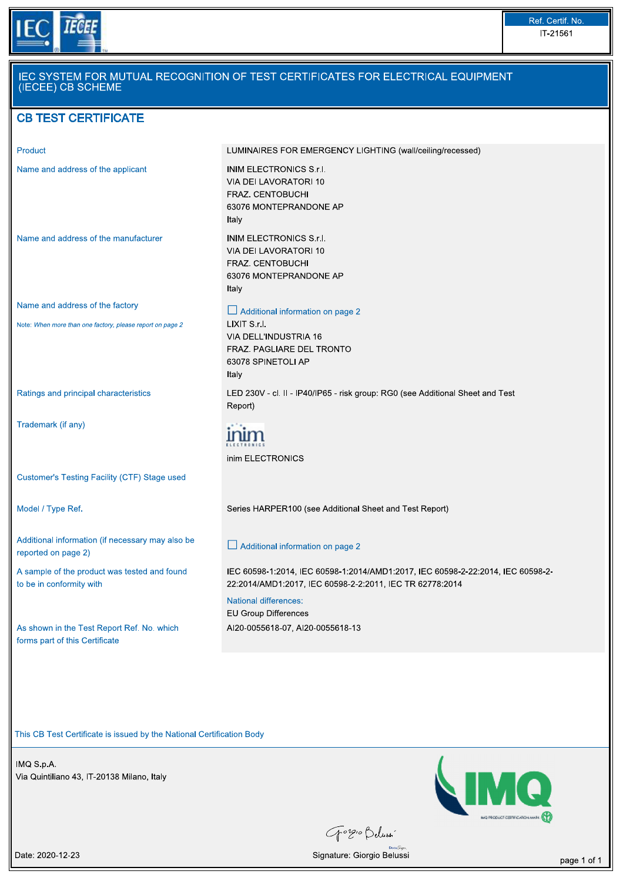

| Product                                                                                      | LUMINAIRES FOR EMERGENCY LIGHTING (wall/ceiling/recessed)                                                                                    |
|----------------------------------------------------------------------------------------------|----------------------------------------------------------------------------------------------------------------------------------------------|
| Name and address of the applicant                                                            | INIM ELECTRONICS S.r.I.<br>VIA DEI LAVORATORI 10<br>FRAZ. CENTOBUCHI<br>63076 MONTEPRANDONE AP<br>Italy                                      |
| Name and address of the manufacturer                                                         | <b>INIM ELECTRONICS S.r.I.</b><br>VIA DEI LAVORATORI 10<br>FRAZ. CENTOBUCHI<br>63076 MONTEPRANDONE AP<br>Italy                               |
| Name and address of the factory<br>Note: When more than one factory, please report on page 2 | $\Box$ Additional information on page 2<br>LIXIT S.r.I.<br>VIA DELL'INDUSTRIA 16<br>FRAZ. PAGLIARE DEL TRONTO<br>63078 SPINETOLI AP<br>Italy |
| Ratings and principal characteristics                                                        | LED 230V - cl. II - IP40/IP65 - risk group: RG0 (see Additional Sheet and Test<br>Report)                                                    |
| Trademark (if any)                                                                           | inim ELECTRONICS                                                                                                                             |
| Customer's Testing Facility (CTF) Stage used                                                 |                                                                                                                                              |
| Model / Type Ref.                                                                            | Series HARPER100 (see Additional Sheet and Test Report)                                                                                      |
| Additional information (if necessary may also be<br>reported on page 2)                      | $\Box$ Additional information on page 2                                                                                                      |
| A sample of the product was tested and found<br>to be in conformity with                     | IEC 60598-1:2014, IEC 60598-1:2014/AMD1:2017, IEC 60598-2-22:2014, IEC 60598-2-<br>22:2014/AMD1:2017, IEC 60598-2-2:2011, IEC TR 62778:2014  |
| As shown in the Test Report Ref. No. which<br>forms part of this Certificate                 | <b>National differences:</b><br><b>EU Group Differences</b><br>AI20-0055618-07, AI20-0055618-13                                              |

This CB Test Certificate is issued by the National Certification Body<br>
IMQ S.p.A.<br>
Via Quintiliano 43, IT-20138 Milano, Italy<br>
The Quintiliano 43, IT-20138 Milano, Italy



Gorgio Delussi  $DocuS$ 

Date: 2020-12-23 page 1 of 1 and 20 and 20 and 20 and 20 and 20 and 20 and 20 and 20 and 20 and 20 and 20 and 20 and 20 and 20 and 20 and 20 and 20 and 20 and 20 and 20 and 20 and 20 and 20 and 20 and 20 and 20 and 20 and